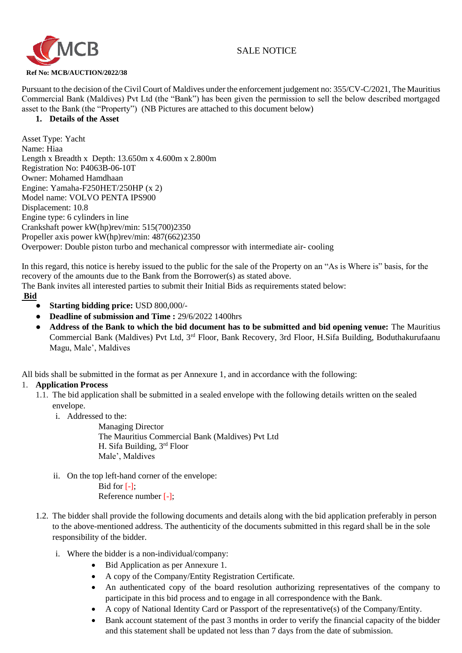# SALE NOTICE



Pursuant to the decision of the Civil Court of Maldives under the enforcement judgement no: 355/CV-C/2021, The Mauritius Commercial Bank (Maldives) Pvt Ltd (the "Bank") has been given the permission to sell the below described mortgaged asset to the Bank (the "Property") (NB Pictures are attached to this document below)

#### **1. Details of the Asset**

Asset Type: Yacht Name: Hiaa Length x Breadth x Depth: 13.650m x 4.600m x 2.800m Registration No: P4063B-06-10T Owner: Mohamed Hamdhaan Engine: Yamaha-F250HET/250HP (x 2) Model name: VOLVO PENTA IPS900 Displacement: 10.8 Engine type: 6 cylinders in line Crankshaft power kW(hp)rev/min: 515(700)2350 Propeller axis power kW(hp)rev/min: 487(662)2350 Overpower: Double piston turbo and mechanical compressor with intermediate air- cooling

In this regard, this notice is hereby issued to the public for the sale of the Property on an "As is Where is" basis, for the recovery of the amounts due to the Bank from the Borrower(s) as stated above.

The Bank invites all interested parties to submit their Initial Bids as requirements stated below:

#### **Bid**

- **Starting bidding price:** USD 800,000/-
- **Deadline of submission and Time :** 29/6/2022 1400hrs
- Address of the Bank to which the bid document has to be submitted and bid opening venue: The Mauritius Commercial Bank (Maldives) Pvt Ltd, 3rd Floor, Bank Recovery, 3rd Floor, H.Sifa Building, Boduthakurufaanu Magu, Male', Maldives

All bids shall be submitted in the format as per Annexure 1, and in accordance with the following:

# 1. **Application Process**

- 1.1. The bid application shall be submitted in a sealed envelope with the following details written on the sealed envelope.
	- i. Addressed to the:

Managing Director The Mauritius Commercial Bank (Maldives) Pvt Ltd H. Sifa Building, 3rd Floor Male', Maldives

- ii. On the top left-hand corner of the envelope: Bid for [-]; Reference number [-];
- 1.2. The bidder shall provide the following documents and details along with the bid application preferably in person to the above-mentioned address. The authenticity of the documents submitted in this regard shall be in the sole responsibility of the bidder.
	- i. Where the bidder is a non-individual/company:
		- Bid Application as per Annexure 1.
		- A copy of the Company/Entity Registration Certificate.
		- An authenticated copy of the board resolution authorizing representatives of the company to participate in this bid process and to engage in all correspondence with the Bank.
		- A copy of National Identity Card or Passport of the representative(s) of the Company/Entity.
		- Bank account statement of the past 3 months in order to verify the financial capacity of the bidder and this statement shall be updated not less than 7 days from the date of submission.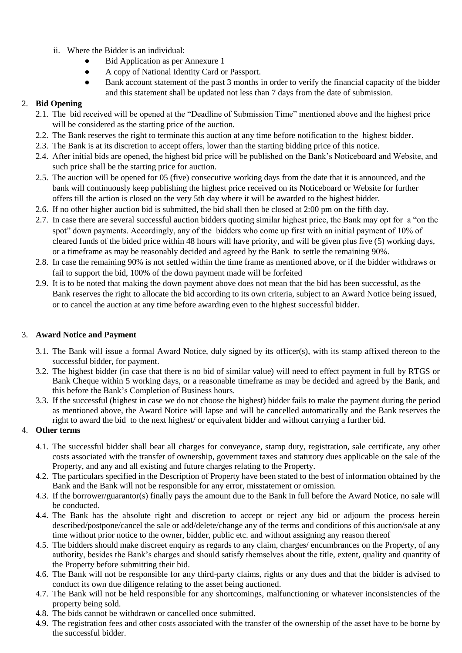- ii. Where the Bidder is an individual:
	- **Bid Application as per Annexure 1**
	- A copy of National Identity Card or Passport.
	- Bank account statement of the past 3 months in order to verify the financial capacity of the bidder and this statement shall be updated not less than 7 days from the date of submission.

### 2. **Bid Opening**

- 2.1. The bid received will be opened at the "Deadline of Submission Time" mentioned above and the highest price will be considered as the starting price of the auction.
- 2.2. The Bank reserves the right to terminate this auction at any time before notification to the highest bidder.
- 2.3. The Bank is at its discretion to accept offers, lower than the starting bidding price of this notice.
- 2.4. After initial bids are opened, the highest bid price will be published on the Bank's Noticeboard and Website, and such price shall be the starting price for auction.
- 2.5. The auction will be opened for 05 (five) consecutive working days from the date that it is announced, and the bank will continuously keep publishing the highest price received on its Noticeboard or Website for further offers till the action is closed on the very 5th day where it will be awarded to the highest bidder.
- 2.6. If no other higher auction bid is submitted, the bid shall then be closed at 2:00 pm on the fifth day.
- 2.7. In case there are several successful auction bidders quoting similar highest price, the Bank may opt for a "on the spot" down payments. Accordingly, any of the bidders who come up first with an initial payment of 10% of cleared funds of the bided price within 48 hours will have priority, and will be given plus five (5) working days, or a timeframe as may be reasonably decided and agreed by the Bank to settle the remaining 90%.
- 2.8. In case the remaining 90% is not settled within the time frame as mentioned above, or if the bidder withdraws or fail to support the bid, 100% of the down payment made will be forfeited
- 2.9. It is to be noted that making the down payment above does not mean that the bid has been successful, as the Bank reserves the right to allocate the bid according to its own criteria, subject to an Award Notice being issued, or to cancel the auction at any time before awarding even to the highest successful bidder.

# 3. **Award Notice and Payment**

- 3.1. The Bank will issue a formal Award Notice, duly signed by its officer(s), with its stamp affixed thereon to the successful bidder, for payment.
- 3.2. The highest bidder (in case that there is no bid of similar value) will need to effect payment in full by RTGS or Bank Cheque within 5 working days, or a reasonable timeframe as may be decided and agreed by the Bank, and this before the Bank's Completion of Business hours.
- 3.3. If the successful (highest in case we do not choose the highest) bidder fails to make the payment during the period as mentioned above, the Award Notice will lapse and will be cancelled automatically and the Bank reserves the right to award the bid to the next highest/ or equivalent bidder and without carrying a further bid.

# 4. **Other terms**

- 4.1. The successful bidder shall bear all charges for conveyance, stamp duty, registration, sale certificate, any other costs associated with the transfer of ownership, government taxes and statutory dues applicable on the sale of the Property, and any and all existing and future charges relating to the Property.
- 4.2. The particulars specified in the Description of Property have been stated to the best of information obtained by the Bank and the Bank will not be responsible for any error, misstatement or omission.
- 4.3. If the borrower/guarantor(s) finally pays the amount due to the Bank in full before the Award Notice, no sale will be conducted.
- 4.4. The Bank has the absolute right and discretion to accept or reject any bid or adjourn the process herein described/postpone/cancel the sale or add/delete/change any of the terms and conditions of this auction/sale at any time without prior notice to the owner, bidder, public etc. and without assigning any reason thereof
- 4.5. The bidders should make discreet enquiry as regards to any claim, charges/ encumbrances on the Property, of any authority, besides the Bank's charges and should satisfy themselves about the title, extent, quality and quantity of the Property before submitting their bid.
- 4.6. The Bank will not be responsible for any third-party claims, rights or any dues and that the bidder is advised to conduct its own due diligence relating to the asset being auctioned.
- 4.7. The Bank will not be held responsible for any shortcomings, malfunctioning or whatever inconsistencies of the property being sold.
- 4.8. The bids cannot be withdrawn or cancelled once submitted.
- 4.9. The registration fees and other costs associated with the transfer of the ownership of the asset have to be borne by the successful bidder.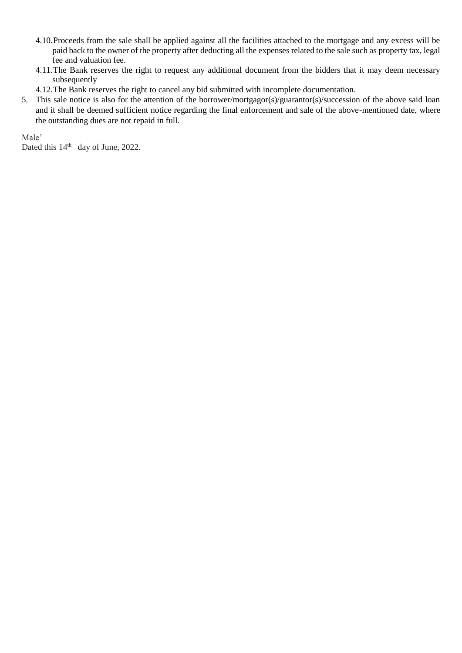- 4.10.Proceeds from the sale shall be applied against all the facilities attached to the mortgage and any excess will be paid back to the owner of the property after deducting all the expenses related to the sale such as property tax, legal fee and valuation fee.
- 4.11.The Bank reserves the right to request any additional document from the bidders that it may deem necessary subsequently
- 4.12.The Bank reserves the right to cancel any bid submitted with incomplete documentation.
- 5. This sale notice is also for the attention of the borrower/mortgagor(s)/guarantor(s)/succession of the above said loan and it shall be deemed sufficient notice regarding the final enforcement and sale of the above-mentioned date, where the outstanding dues are not repaid in full.

Male'

Dated this  $14<sup>th</sup>$  day of June, 2022.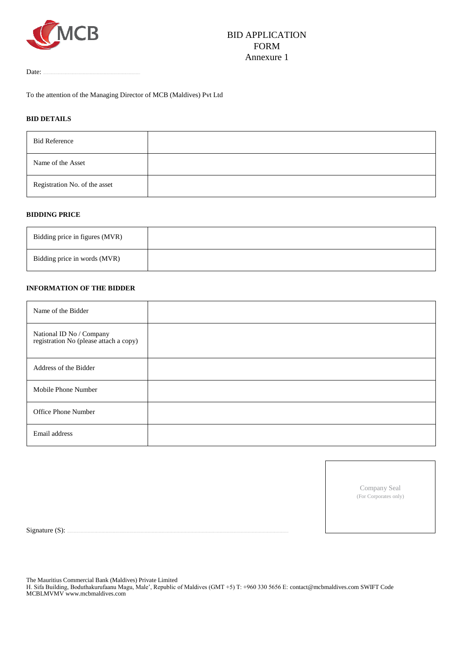

Date:

To the attention of the Managing Director of MCB (Maldives) Pvt Ltd

#### **BID DETAILS**

| <b>Bid Reference</b>          |  |
|-------------------------------|--|
| Name of the Asset             |  |
| Registration No. of the asset |  |

#### **BIDDING PRICE**

| Bidding price in figures (MVR) |  |
|--------------------------------|--|
| Bidding price in words (MVR)   |  |

#### **INFORMATION OF THE BIDDER**

| Name of the Bidder                                                 |  |
|--------------------------------------------------------------------|--|
| National ID No / Company<br>registration No (please attach a copy) |  |
| Address of the Bidder                                              |  |
| Mobile Phone Number                                                |  |
| Office Phone Number                                                |  |
| Email address                                                      |  |

Company Seal (For Corporates only)

Signature (S):

The Mauritius Commercial Bank (Maldives) Private Limited

H. Sifa Building, Boduthakurufaanu Magu, Male', Republic of Maldives (GMT +5) T: +960 330 5656 E: contact@mcbmaldives.com SWIFT Code MCBLMVMV www.mcbmaldives.com